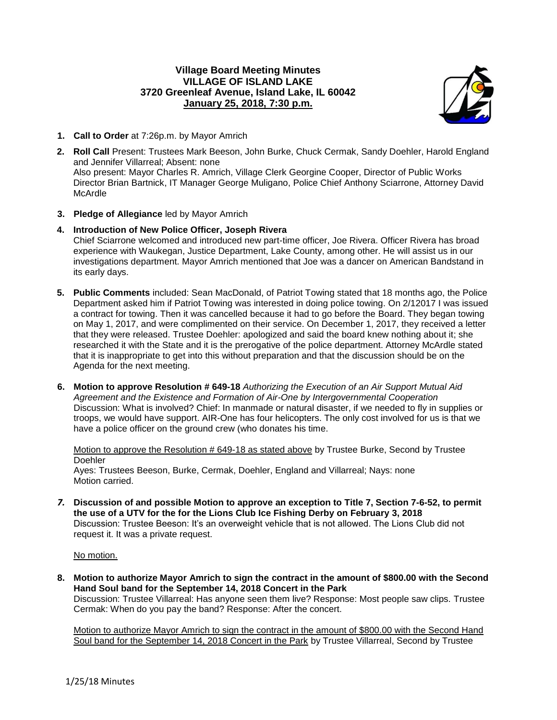## **Village Board Meeting Minutes VILLAGE OF ISLAND LAKE 3720 Greenleaf Avenue, Island Lake, IL 60042 January 25, 2018, 7:30 p.m.**



- **1. Call to Order** at 7:26p.m. by Mayor Amrich
- **2. Roll Call** Present: Trustees Mark Beeson, John Burke, Chuck Cermak, Sandy Doehler, Harold England and Jennifer Villarreal; Absent: none Also present: Mayor Charles R. Amrich, Village Clerk Georgine Cooper, Director of Public Works Director Brian Bartnick, IT Manager George Muligano, Police Chief Anthony Sciarrone, Attorney David McArdle
- **3. Pledge of Allegiance** led by Mayor Amrich
- **4. Introduction of New Police Officer, Joseph Rivera** Chief Sciarrone welcomed and introduced new part-time officer, Joe Rivera. Officer Rivera has broad experience with Waukegan, Justice Department, Lake County, among other. He will assist us in our investigations department. Mayor Amrich mentioned that Joe was a dancer on American Bandstand in its early days.
- **5. Public Comments** included: Sean MacDonald, of Patriot Towing stated that 18 months ago, the Police Department asked him if Patriot Towing was interested in doing police towing. On 2/12017 I was issued a contract for towing. Then it was cancelled because it had to go before the Board. They began towing on May 1, 2017, and were complimented on their service. On December 1, 2017, they received a letter that they were released. Trustee Doehler: apologized and said the board knew nothing about it; she researched it with the State and it is the prerogative of the police department. Attorney McArdle stated that it is inappropriate to get into this without preparation and that the discussion should be on the Agenda for the next meeting.
- **6. Motion to approve Resolution # 649-18** *Authorizing the Execution of an Air Support Mutual Aid Agreement and the Existence and Formation of Air-One by Intergovernmental Cooperation* Discussion: What is involved? Chief: In manmade or natural disaster, if we needed to fly in supplies or troops, we would have support. AIR-One has four helicopters. The only cost involved for us is that we have a police officer on the ground crew (who donates his time.

Motion to approve the Resolution # 649-18 as stated above by Trustee Burke, Second by Trustee **Doehler** Ayes: Trustees Beeson, Burke, Cermak, Doehler, England and Villarreal; Nays: none

- Motion carried.
- *7.* **Discussion of and possible Motion to approve an exception to Title 7, Section 7-6-52, to permit the use of a UTV for the for the Lions Club Ice Fishing Derby on February 3, 2018** Discussion: Trustee Beeson: It's an overweight vehicle that is not allowed. The Lions Club did not request it. It was a private request.

No motion.

**8. Motion to authorize Mayor Amrich to sign the contract in the amount of \$800.00 with the Second Hand Soul band for the September 14, 2018 Concert in the Park**

Discussion: Trustee Villarreal: Has anyone seen them live? Response: Most people saw clips. Trustee Cermak: When do you pay the band? Response: After the concert.

Motion to authorize Mayor Amrich to sign the contract in the amount of \$800.00 with the Second Hand Soul band for the September 14, 2018 Concert in the Park by Trustee Villarreal, Second by Trustee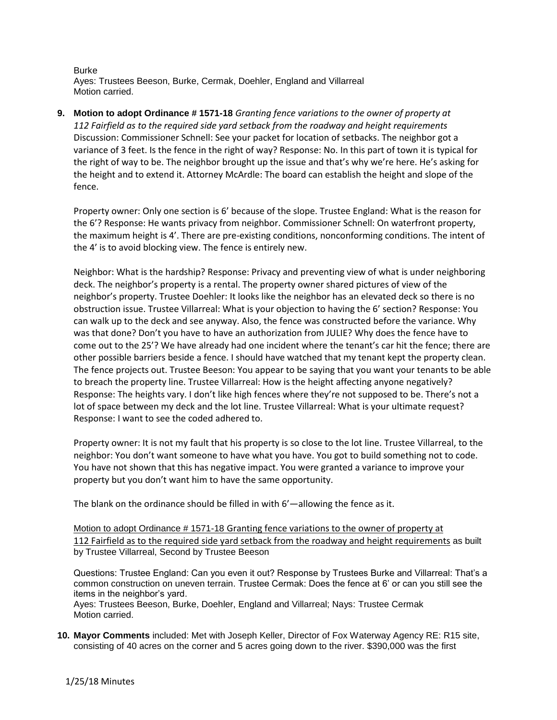Burke Ayes: Trustees Beeson, Burke, Cermak, Doehler, England and Villarreal Motion carried.

**9. Motion to adopt Ordinance # 1571-18** *Granting fence variations to the owner of property at 112 Fairfield as to the required side yard setback from the roadway and height requirements* Discussion: Commissioner Schnell: See your packet for location of setbacks. The neighbor got a variance of 3 feet. Is the fence in the right of way? Response: No. In this part of town it is typical for the right of way to be. The neighbor brought up the issue and that's why we're here. He's asking for the height and to extend it. Attorney McArdle: The board can establish the height and slope of the fence.

Property owner: Only one section is 6' because of the slope. Trustee England: What is the reason for the 6'? Response: He wants privacy from neighbor. Commissioner Schnell: On waterfront property, the maximum height is 4'. There are pre-existing conditions, nonconforming conditions. The intent of the 4' is to avoid blocking view. The fence is entirely new.

Neighbor: What is the hardship? Response: Privacy and preventing view of what is under neighboring deck. The neighbor's property is a rental. The property owner shared pictures of view of the neighbor's property. Trustee Doehler: It looks like the neighbor has an elevated deck so there is no obstruction issue. Trustee Villarreal: What is your objection to having the 6' section? Response: You can walk up to the deck and see anyway. Also, the fence was constructed before the variance. Why was that done? Don't you have to have an authorization from JULIE? Why does the fence have to come out to the 25'? We have already had one incident where the tenant's car hit the fence; there are other possible barriers beside a fence. I should have watched that my tenant kept the property clean. The fence projects out. Trustee Beeson: You appear to be saying that you want your tenants to be able to breach the property line. Trustee Villarreal: How is the height affecting anyone negatively? Response: The heights vary. I don't like high fences where they're not supposed to be. There's not a lot of space between my deck and the lot line. Trustee Villarreal: What is your ultimate request? Response: I want to see the coded adhered to.

Property owner: It is not my fault that his property is so close to the lot line. Trustee Villarreal, to the neighbor: You don't want someone to have what you have. You got to build something not to code. You have not shown that this has negative impact. You were granted a variance to improve your property but you don't want him to have the same opportunity.

The blank on the ordinance should be filled in with 6'—allowing the fence as it.

Motion to adopt Ordinance # 1571-18 Granting fence variations to the owner of property at 112 Fairfield as to the required side yard setback from the roadway and height requirements as built by Trustee Villarreal, Second by Trustee Beeson

Questions: Trustee England: Can you even it out? Response by Trustees Burke and Villarreal: That's a common construction on uneven terrain. Trustee Cermak: Does the fence at 6' or can you still see the items in the neighbor's yard.

Ayes: Trustees Beeson, Burke, Doehler, England and Villarreal; Nays: Trustee Cermak Motion carried.

**10. Mayor Comments** included: Met with Joseph Keller, Director of Fox Waterway Agency RE: R15 site, consisting of 40 acres on the corner and 5 acres going down to the river. \$390,000 was the first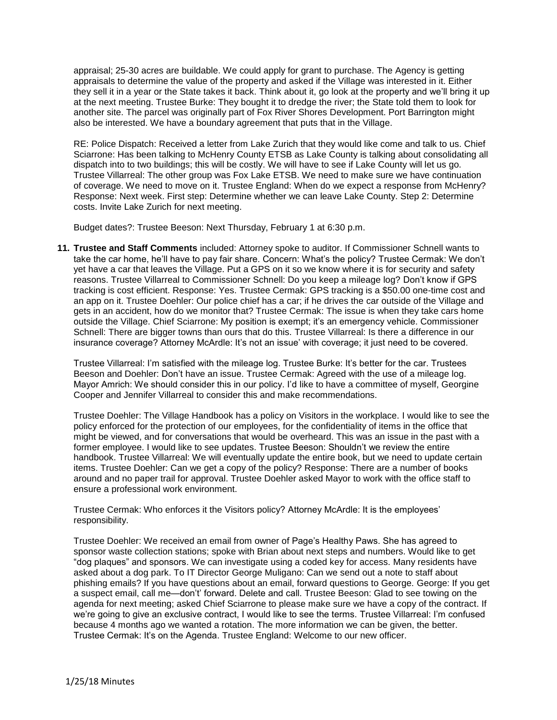appraisal; 25-30 acres are buildable. We could apply for grant to purchase. The Agency is getting appraisals to determine the value of the property and asked if the Village was interested in it. Either they sell it in a year or the State takes it back. Think about it, go look at the property and we'll bring it up at the next meeting. Trustee Burke: They bought it to dredge the river; the State told them to look for another site. The parcel was originally part of Fox River Shores Development. Port Barrington might also be interested. We have a boundary agreement that puts that in the Village.

RE: Police Dispatch: Received a letter from Lake Zurich that they would like come and talk to us. Chief Sciarrone: Has been talking to McHenry County ETSB as Lake County is talking about consolidating all dispatch into to two buildings; this will be costly. We will have to see if Lake County will let us go. Trustee Villarreal: The other group was Fox Lake ETSB. We need to make sure we have continuation of coverage. We need to move on it. Trustee England: When do we expect a response from McHenry? Response: Next week. First step: Determine whether we can leave Lake County. Step 2: Determine costs. Invite Lake Zurich for next meeting.

Budget dates?: Trustee Beeson: Next Thursday, February 1 at 6:30 p.m.

**11. Trustee and Staff Comments** included: Attorney spoke to auditor. If Commissioner Schnell wants to take the car home, he'll have to pay fair share. Concern: What's the policy? Trustee Cermak: We don't yet have a car that leaves the Village. Put a GPS on it so we know where it is for security and safety reasons. Trustee Villarreal to Commissioner Schnell: Do you keep a mileage log? Don't know if GPS tracking is cost efficient. Response: Yes. Trustee Cermak: GPS tracking is a \$50.00 one-time cost and an app on it. Trustee Doehler: Our police chief has a car; if he drives the car outside of the Village and gets in an accident, how do we monitor that? Trustee Cermak: The issue is when they take cars home outside the Village. Chief Sciarrone: My position is exempt; it's an emergency vehicle. Commissioner Schnell: There are bigger towns than ours that do this. Trustee Villarreal: Is there a difference in our insurance coverage? Attorney McArdle: It's not an issue' with coverage; it just need to be covered.

Trustee Villarreal: I'm satisfied with the mileage log. Trustee Burke: It's better for the car. Trustees Beeson and Doehler: Don't have an issue. Trustee Cermak: Agreed with the use of a mileage log. Mayor Amrich: We should consider this in our policy. I'd like to have a committee of myself, Georgine Cooper and Jennifer Villarreal to consider this and make recommendations.

Trustee Doehler: The Village Handbook has a policy on Visitors in the workplace. I would like to see the policy enforced for the protection of our employees, for the confidentiality of items in the office that might be viewed, and for conversations that would be overheard. This was an issue in the past with a former employee. I would like to see updates. Trustee Beeson: Shouldn't we review the entire handbook. Trustee Villarreal: We will eventually update the entire book, but we need to update certain items. Trustee Doehler: Can we get a copy of the policy? Response: There are a number of books around and no paper trail for approval. Trustee Doehler asked Mayor to work with the office staff to ensure a professional work environment.

Trustee Cermak: Who enforces it the Visitors policy? Attorney McArdle: It is the employees' responsibility.

Trustee Doehler: We received an email from owner of Page's Healthy Paws. She has agreed to sponsor waste collection stations; spoke with Brian about next steps and numbers. Would like to get "dog plaques" and sponsors. We can investigate using a coded key for access. Many residents have asked about a dog park. To IT Director George Muligano: Can we send out a note to staff about phishing emails? If you have questions about an email, forward questions to George. George: If you get a suspect email, call me—don't' forward. Delete and call. Trustee Beeson: Glad to see towing on the agenda for next meeting; asked Chief Sciarrone to please make sure we have a copy of the contract. If we're going to give an exclusive contract, I would like to see the terms. Trustee Villarreal: I'm confused because 4 months ago we wanted a rotation. The more information we can be given, the better. Trustee Cermak: It's on the Agenda. Trustee England: Welcome to our new officer.